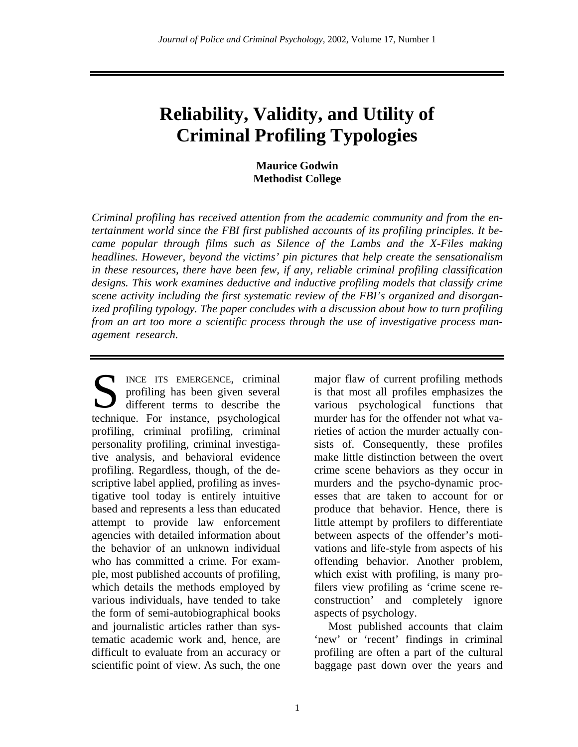# **Reliability, Validity, and Utility of Criminal Profiling Typologies**

**Maurice Godwin Methodist College** 

*Criminal profiling has received attention from the academic community and from the entertainment world since the FBI first published accounts of its profiling principles. It became popular through films such as Silence of the Lambs and the X-Files making headlines. However, beyond the victims' pin pictures that help create the sensationalism in these resources, there have been few, if any, reliable criminal profiling classification designs. This work examines deductive and inductive profiling models that classify crime scene activity including the first systematic review of the FBI's organized and disorganized profiling typology. The paper concludes with a discussion about how to turn profiling from an art too more a scientific process through the use of investigative process management research.* 

INCE ITS EMERGENCE, criminal profiling has been given several different terms to describe the SINCE ITS EMERGENCE, criminal profiling has been given several different terms to describe the technique. For instance, psychological profiling, criminal profiling, criminal personality profiling, criminal investigative analysis, and behavioral evidence profiling. Regardless, though, of the descriptive label applied, profiling as investigative tool today is entirely intuitive based and represents a less than educated attempt to provide law enforcement agencies with detailed information about the behavior of an unknown individual who has committed a crime. For example, most published accounts of profiling, which details the methods employed by various individuals, have tended to take the form of semi-autobiographical books and journalistic articles rather than systematic academic work and, hence, are difficult to evaluate from an accuracy or scientific point of view. As such, the one

major flaw of current profiling methods is that most all profiles emphasizes the various psychological functions that murder has for the offender not what varieties of action the murder actually consists of. Consequently, these profiles make little distinction between the overt crime scene behaviors as they occur in murders and the psycho-dynamic processes that are taken to account for or produce that behavior. Hence, there is little attempt by profilers to differentiate between aspects of the offender's motivations and life-style from aspects of his offending behavior. Another problem, which exist with profiling, is many profilers view profiling as 'crime scene reconstruction' and completely ignore aspects of psychology.

 Most published accounts that claim 'new' or 'recent' findings in criminal profiling are often a part of the cultural baggage past down over the years and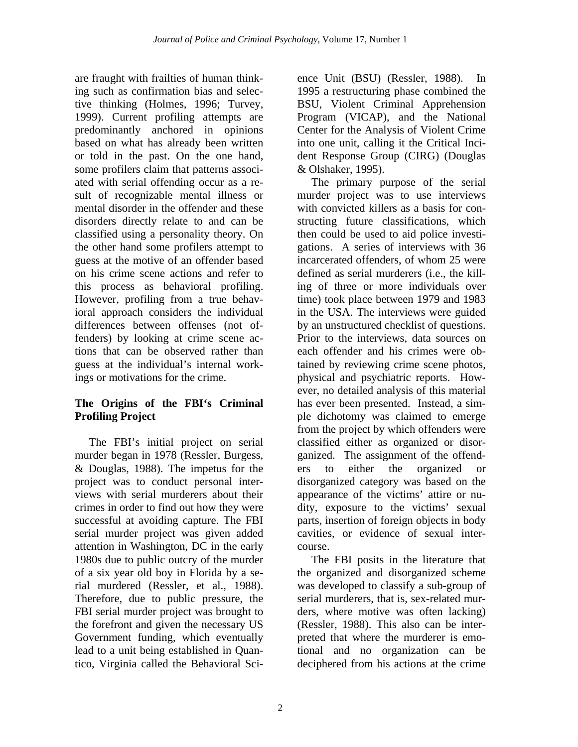are fraught with frailties of human thinking such as confirmation bias and selective thinking (Holmes, 1996; Turvey, 1999). Current profiling attempts are predominantly anchored in opinions based on what has already been written or told in the past. On the one hand, some profilers claim that patterns associated with serial offending occur as a result of recognizable mental illness or mental disorder in the offender and these disorders directly relate to and can be classified using a personality theory. On the other hand some profilers attempt to guess at the motive of an offender based on his crime scene actions and refer to this process as behavioral profiling. However, profiling from a true behavioral approach considers the individual differences between offenses (not offenders) by looking at crime scene actions that can be observed rather than guess at the individual's internal workings or motivations for the crime.

### **The Origins of the FBI's Criminal Profiling Project**

 The FBI's initial project on serial murder began in 1978 (Ressler, Burgess, & Douglas, 1988). The impetus for the project was to conduct personal interviews with serial murderers about their crimes in order to find out how they were successful at avoiding capture. The FBI serial murder project was given added attention in Washington, DC in the early 1980s due to public outcry of the murder of a six year old boy in Florida by a serial murdered (Ressler, et al., 1988). Therefore, due to public pressure, the FBI serial murder project was brought to the forefront and given the necessary US Government funding, which eventually lead to a unit being established in Quantico, Virginia called the Behavioral Science Unit (BSU) (Ressler, 1988). In 1995 a restructuring phase combined the BSU, Violent Criminal Apprehension Program (VICAP), and the National Center for the Analysis of Violent Crime into one unit, calling it the Critical Incident Response Group (CIRG) (Douglas & Olshaker, 1995).

 The primary purpose of the serial murder project was to use interviews with convicted killers as a basis for constructing future classifications, which then could be used to aid police investigations. A series of interviews with 36 incarcerated offenders, of whom 25 were defined as serial murderers (i.e., the killing of three or more individuals over time) took place between 1979 and 1983 in the USA. The interviews were guided by an unstructured checklist of questions. Prior to the interviews, data sources on each offender and his crimes were obtained by reviewing crime scene photos, physical and psychiatric reports. However, no detailed analysis of this material has ever been presented. Instead, a simple dichotomy was claimed to emerge from the project by which offenders were classified either as organized or disorganized. The assignment of the offenders to either the organized or disorganized category was based on the appearance of the victims' attire or nudity, exposure to the victims' sexual parts, insertion of foreign objects in body cavities, or evidence of sexual intercourse.

 The FBI posits in the literature that the organized and disorganized scheme was developed to classify a sub-group of serial murderers, that is, sex-related murders, where motive was often lacking) (Ressler, 1988). This also can be interpreted that where the murderer is emotional and no organization can be deciphered from his actions at the crime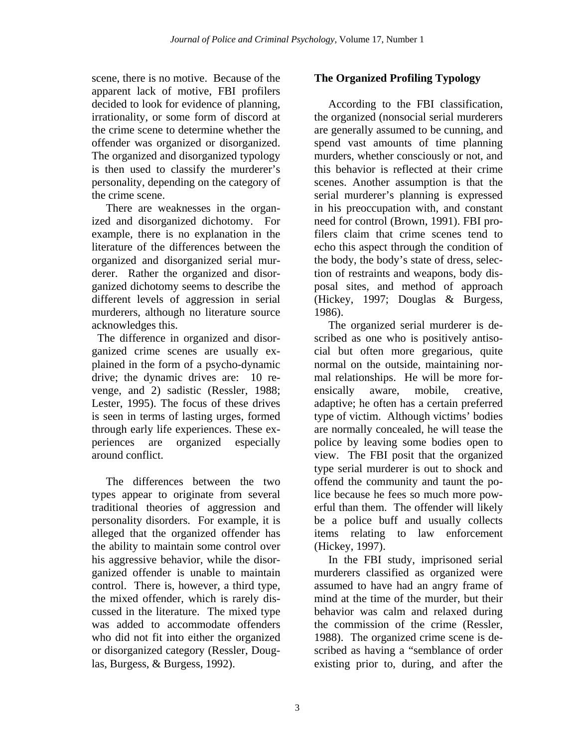scene, there is no motive. Because of the apparent lack of motive, FBI profilers decided to look for evidence of planning, irrationality, or some form of discord at the crime scene to determine whether the offender was organized or disorganized. The organized and disorganized typology is then used to classify the murderer's personality, depending on the category of the crime scene.

 There are weaknesses in the organized and disorganized dichotomy. For example, there is no explanation in the literature of the differences between the organized and disorganized serial murderer. Rather the organized and disorganized dichotomy seems to describe the different levels of aggression in serial murderers, although no literature source acknowledges this.

 The difference in organized and disorganized crime scenes are usually explained in the form of a psycho-dynamic drive; the dynamic drives are: 10 revenge, and 2) sadistic (Ressler, 1988; Lester, 1995). The focus of these drives is seen in terms of lasting urges, formed through early life experiences. These experiences are organized especially around conflict.

 The differences between the two types appear to originate from several traditional theories of aggression and personality disorders. For example, it is alleged that the organized offender has the ability to maintain some control over his aggressive behavior, while the disorganized offender is unable to maintain control. There is, however, a third type, the mixed offender, which is rarely discussed in the literature. The mixed type was added to accommodate offenders who did not fit into either the organized or disorganized category (Ressler, Douglas, Burgess, & Burgess, 1992).

# **The Organized Profiling Typology**

 According to the FBI classification, the organized (nonsocial serial murderers are generally assumed to be cunning, and spend vast amounts of time planning murders, whether consciously or not, and this behavior is reflected at their crime scenes. Another assumption is that the serial murderer's planning is expressed in his preoccupation with, and constant need for control (Brown, 1991). FBI profilers claim that crime scenes tend to echo this aspect through the condition of the body, the body's state of dress, selection of restraints and weapons, body disposal sites, and method of approach (Hickey, 1997; Douglas & Burgess, 1986).

 The organized serial murderer is described as one who is positively antisocial but often more gregarious, quite normal on the outside, maintaining normal relationships. He will be more forensically aware, mobile, creative, adaptive; he often has a certain preferred type of victim. Although victims' bodies are normally concealed, he will tease the police by leaving some bodies open to view. The FBI posit that the organized type serial murderer is out to shock and offend the community and taunt the police because he fees so much more powerful than them. The offender will likely be a police buff and usually collects items relating to law enforcement (Hickey, 1997).

 In the FBI study, imprisoned serial murderers classified as organized were assumed to have had an angry frame of mind at the time of the murder, but their behavior was calm and relaxed during the commission of the crime (Ressler, 1988). The organized crime scene is described as having a "semblance of order existing prior to, during, and after the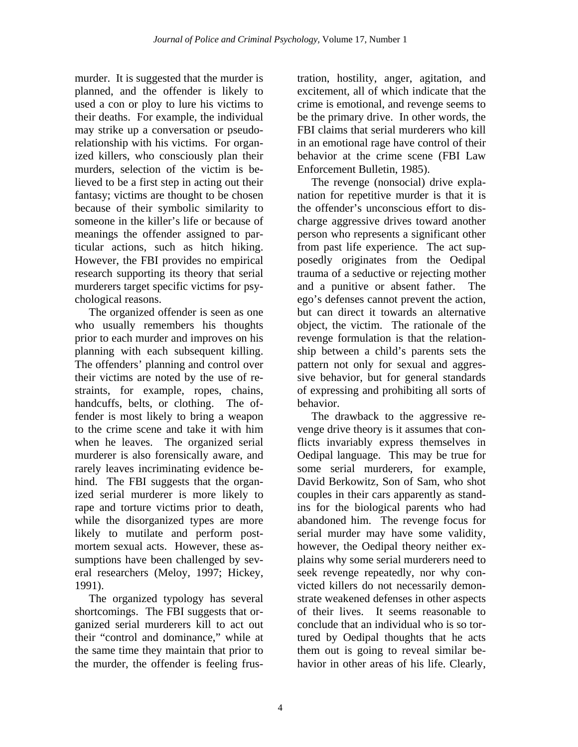murder. It is suggested that the murder is planned, and the offender is likely to used a con or ploy to lure his victims to their deaths. For example, the individual may strike up a conversation or pseudorelationship with his victims. For organized killers, who consciously plan their murders, selection of the victim is believed to be a first step in acting out their fantasy; victims are thought to be chosen because of their symbolic similarity to someone in the killer's life or because of meanings the offender assigned to particular actions, such as hitch hiking. However, the FBI provides no empirical research supporting its theory that serial murderers target specific victims for psychological reasons.

 The organized offender is seen as one who usually remembers his thoughts prior to each murder and improves on his planning with each subsequent killing. The offenders' planning and control over their victims are noted by the use of restraints, for example, ropes, chains, handcuffs, belts, or clothing. The offender is most likely to bring a weapon to the crime scene and take it with him when he leaves. The organized serial murderer is also forensically aware, and rarely leaves incriminating evidence behind. The FBI suggests that the organized serial murderer is more likely to rape and torture victims prior to death, while the disorganized types are more likely to mutilate and perform postmortem sexual acts. However, these assumptions have been challenged by several researchers (Meloy, 1997; Hickey, 1991).

 The organized typology has several shortcomings. The FBI suggests that organized serial murderers kill to act out their "control and dominance," while at the same time they maintain that prior to the murder, the offender is feeling frustration, hostility, anger, agitation, and excitement, all of which indicate that the crime is emotional, and revenge seems to be the primary drive. In other words, the FBI claims that serial murderers who kill in an emotional rage have control of their behavior at the crime scene (FBI Law Enforcement Bulletin, 1985).

 The revenge (nonsocial) drive explanation for repetitive murder is that it is the offender's unconscious effort to discharge aggressive drives toward another person who represents a significant other from past life experience. The act supposedly originates from the Oedipal trauma of a seductive or rejecting mother and a punitive or absent father. The ego's defenses cannot prevent the action, but can direct it towards an alternative object, the victim. The rationale of the revenge formulation is that the relationship between a child's parents sets the pattern not only for sexual and aggressive behavior, but for general standards of expressing and prohibiting all sorts of behavior.

 The drawback to the aggressive revenge drive theory is it assumes that conflicts invariably express themselves in Oedipal language. This may be true for some serial murderers, for example, David Berkowitz, Son of Sam, who shot couples in their cars apparently as standins for the biological parents who had abandoned him. The revenge focus for serial murder may have some validity, however, the Oedipal theory neither explains why some serial murderers need to seek revenge repeatedly, nor why convicted killers do not necessarily demonstrate weakened defenses in other aspects of their lives. It seems reasonable to conclude that an individual who is so tortured by Oedipal thoughts that he acts them out is going to reveal similar behavior in other areas of his life. Clearly,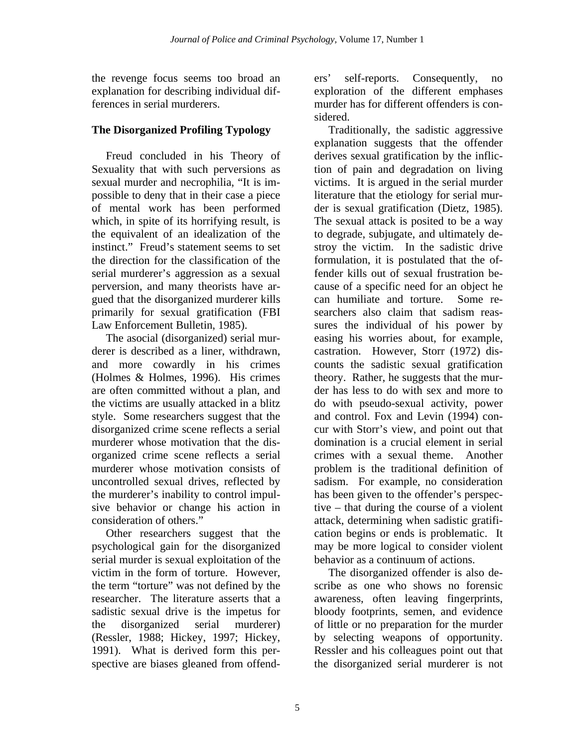the revenge focus seems too broad an explanation for describing individual differences in serial murderers.

# **The Disorganized Profiling Typology**

 Freud concluded in his Theory of Sexuality that with such perversions as sexual murder and necrophilia, "It is impossible to deny that in their case a piece of mental work has been performed which, in spite of its horrifying result, is the equivalent of an idealization of the instinct." Freud's statement seems to set the direction for the classification of the serial murderer's aggression as a sexual perversion, and many theorists have argued that the disorganized murderer kills primarily for sexual gratification (FBI Law Enforcement Bulletin, 1985).

 The asocial (disorganized) serial murderer is described as a liner, withdrawn, and more cowardly in his crimes (Holmes & Holmes, 1996). His crimes are often committed without a plan, and the victims are usually attacked in a blitz style. Some researchers suggest that the disorganized crime scene reflects a serial murderer whose motivation that the disorganized crime scene reflects a serial murderer whose motivation consists of uncontrolled sexual drives, reflected by the murderer's inability to control impulsive behavior or change his action in consideration of others."

 Other researchers suggest that the psychological gain for the disorganized serial murder is sexual exploitation of the victim in the form of torture. However, the term "torture" was not defined by the researcher. The literature asserts that a sadistic sexual drive is the impetus for the disorganized serial murderer) (Ressler, 1988; Hickey, 1997; Hickey, 1991). What is derived form this perspective are biases gleaned from offenders' self-reports. Consequently, no exploration of the different emphases murder has for different offenders is considered.

 Traditionally, the sadistic aggressive explanation suggests that the offender derives sexual gratification by the infliction of pain and degradation on living victims. It is argued in the serial murder literature that the etiology for serial murder is sexual gratification (Dietz, 1985). The sexual attack is posited to be a way to degrade, subjugate, and ultimately destroy the victim. In the sadistic drive formulation, it is postulated that the offender kills out of sexual frustration because of a specific need for an object he can humiliate and torture. Some researchers also claim that sadism reassures the individual of his power by easing his worries about, for example, castration. However, Storr (1972) discounts the sadistic sexual gratification theory. Rather, he suggests that the murder has less to do with sex and more to do with pseudo-sexual activity, power and control. Fox and Levin (1994) concur with Storr's view, and point out that domination is a crucial element in serial crimes with a sexual theme. Another problem is the traditional definition of sadism. For example, no consideration has been given to the offender's perspective – that during the course of a violent attack, determining when sadistic gratification begins or ends is problematic. It may be more logical to consider violent behavior as a continuum of actions.

 The disorganized offender is also describe as one who shows no forensic awareness, often leaving fingerprints, bloody footprints, semen, and evidence of little or no preparation for the murder by selecting weapons of opportunity. Ressler and his colleagues point out that the disorganized serial murderer is not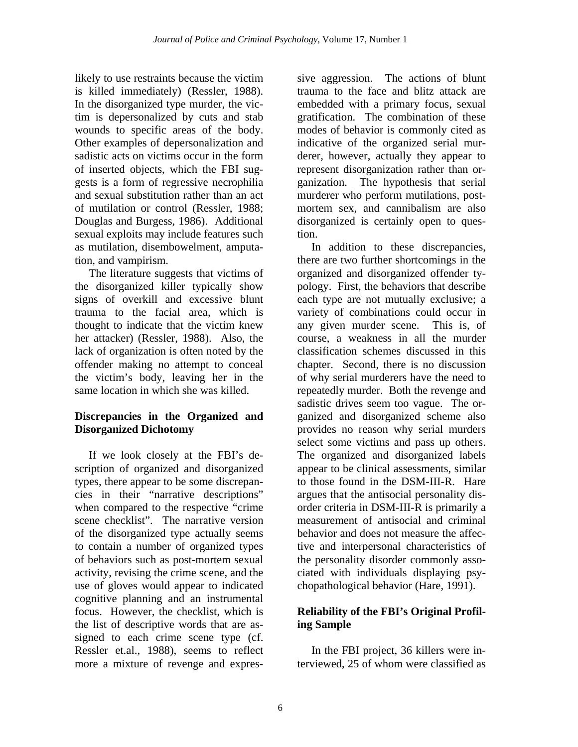likely to use restraints because the victim is killed immediately) (Ressler, 1988). In the disorganized type murder, the victim is depersonalized by cuts and stab wounds to specific areas of the body. Other examples of depersonalization and sadistic acts on victims occur in the form of inserted objects, which the FBI suggests is a form of regressive necrophilia and sexual substitution rather than an act of mutilation or control (Ressler, 1988; Douglas and Burgess, 1986). Additional sexual exploits may include features such as mutilation, disembowelment, amputation, and vampirism.

 The literature suggests that victims of the disorganized killer typically show signs of overkill and excessive blunt trauma to the facial area, which is thought to indicate that the victim knew her attacker) (Ressler, 1988). Also, the lack of organization is often noted by the offender making no attempt to conceal the victim's body, leaving her in the same location in which she was killed.

### **Discrepancies in the Organized and Disorganized Dichotomy**

 If we look closely at the FBI's description of organized and disorganized types, there appear to be some discrepancies in their "narrative descriptions" when compared to the respective "crime scene checklist". The narrative version of the disorganized type actually seems to contain a number of organized types of behaviors such as post-mortem sexual activity, revising the crime scene, and the use of gloves would appear to indicated cognitive planning and an instrumental focus. However, the checklist, which is the list of descriptive words that are assigned to each crime scene type (cf. Ressler et.al., 1988), seems to reflect more a mixture of revenge and expressive aggression. The actions of blunt trauma to the face and blitz attack are embedded with a primary focus, sexual gratification. The combination of these modes of behavior is commonly cited as indicative of the organized serial murderer, however, actually they appear to represent disorganization rather than organization. The hypothesis that serial murderer who perform mutilations, postmortem sex, and cannibalism are also disorganized is certainly open to question.

 In addition to these discrepancies, there are two further shortcomings in the organized and disorganized offender typology. First, the behaviors that describe each type are not mutually exclusive; a variety of combinations could occur in any given murder scene. This is, of course, a weakness in all the murder classification schemes discussed in this chapter. Second, there is no discussion of why serial murderers have the need to repeatedly murder. Both the revenge and sadistic drives seem too vague. The organized and disorganized scheme also provides no reason why serial murders select some victims and pass up others. The organized and disorganized labels appear to be clinical assessments, similar to those found in the DSM-III-R. Hare argues that the antisocial personality disorder criteria in DSM-III-R is primarily a measurement of antisocial and criminal behavior and does not measure the affective and interpersonal characteristics of the personality disorder commonly associated with individuals displaying psychopathological behavior (Hare, 1991).

### **Reliability of the FBI's Original Profiling Sample**

 In the FBI project, 36 killers were interviewed, 25 of whom were classified as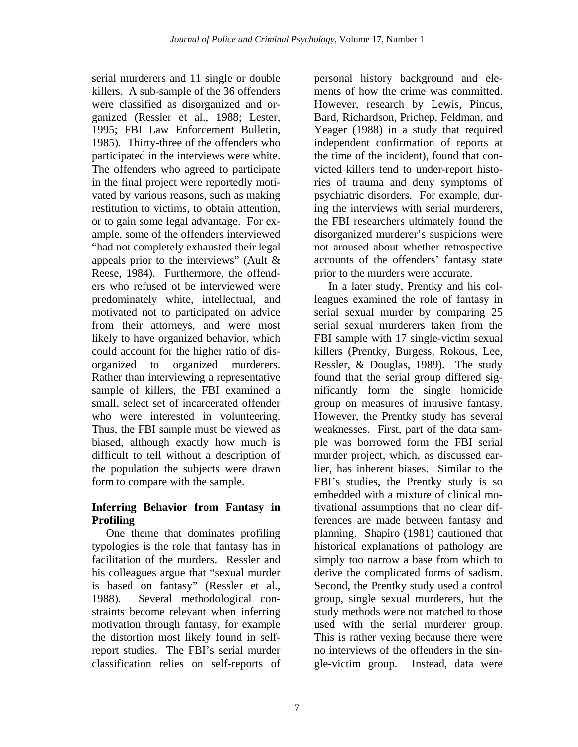serial murderers and 11 single or double killers. A sub-sample of the 36 offenders were classified as disorganized and organized (Ressler et al., 1988; Lester, 1995; FBI Law Enforcement Bulletin, 1985). Thirty-three of the offenders who participated in the interviews were white. The offenders who agreed to participate in the final project were reportedly motivated by various reasons, such as making restitution to victims, to obtain attention, or to gain some legal advantage. For example, some of the offenders interviewed "had not completely exhausted their legal appeals prior to the interviews" (Ault & Reese, 1984). Furthermore, the offenders who refused ot be interviewed were predominately white, intellectual, and motivated not to participated on advice from their attorneys, and were most likely to have organized behavior, which could account for the higher ratio of disorganized to organized murderers. Rather than interviewing a representative sample of killers, the FBI examined a small, select set of incarcerated offender who were interested in volunteering. Thus, the FBI sample must be viewed as biased, although exactly how much is difficult to tell without a description of the population the subjects were drawn form to compare with the sample.

### **Inferring Behavior from Fantasy in Profiling**

 One theme that dominates profiling typologies is the role that fantasy has in facilitation of the murders. Ressler and his colleagues argue that "sexual murder is based on fantasy" (Ressler et al., 1988). Several methodological constraints become relevant when inferring motivation through fantasy, for example the distortion most likely found in selfreport studies. The FBI's serial murder classification relies on self-reports of personal history background and elements of how the crime was committed. However, research by Lewis, Pincus, Bard, Richardson, Prichep, Feldman, and Yeager (1988) in a study that required independent confirmation of reports at the time of the incident), found that convicted killers tend to under-report histories of trauma and deny symptoms of psychiatric disorders. For example, during the interviews with serial murderers, the FBI researchers ultimately found the disorganized murderer's suspicions were not aroused about whether retrospective accounts of the offenders' fantasy state prior to the murders were accurate.

 In a later study, Prentky and his colleagues examined the role of fantasy in serial sexual murder by comparing 25 serial sexual murderers taken from the FBI sample with 17 single-victim sexual killers (Prentky, Burgess, Rokous, Lee, Ressler, & Douglas, 1989). The study found that the serial group differed significantly form the single homicide group on measures of intrusive fantasy. However, the Prentky study has several weaknesses. First, part of the data sample was borrowed form the FBI serial murder project, which, as discussed earlier, has inherent biases. Similar to the FBI's studies, the Prentky study is so embedded with a mixture of clinical motivational assumptions that no clear differences are made between fantasy and planning. Shapiro (1981) cautioned that historical explanations of pathology are simply too narrow a base from which to derive the complicated forms of sadism. Second, the Prentky study used a control group, single sexual murderers, but the study methods were not matched to those used with the serial murderer group. This is rather vexing because there were no interviews of the offenders in the single-victim group. Instead, data were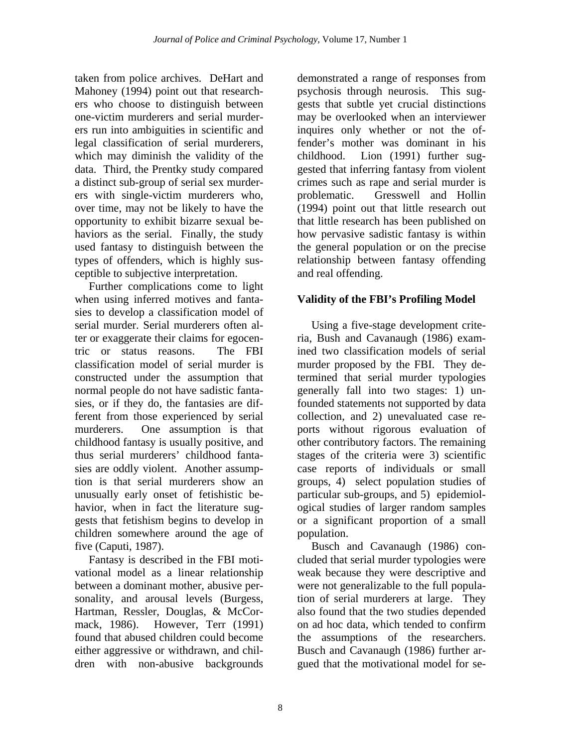taken from police archives. DeHart and Mahoney (1994) point out that researchers who choose to distinguish between one-victim murderers and serial murderers run into ambiguities in scientific and legal classification of serial murderers, which may diminish the validity of the data. Third, the Prentky study compared a distinct sub-group of serial sex murderers with single-victim murderers who, over time, may not be likely to have the opportunity to exhibit bizarre sexual behaviors as the serial. Finally, the study used fantasy to distinguish between the types of offenders, which is highly susceptible to subjective interpretation.

 Further complications come to light when using inferred motives and fantasies to develop a classification model of serial murder. Serial murderers often alter or exaggerate their claims for egocentric or status reasons. The FBI classification model of serial murder is constructed under the assumption that normal people do not have sadistic fantasies, or if they do, the fantasies are different from those experienced by serial murderers. One assumption is that childhood fantasy is usually positive, and thus serial murderers' childhood fantasies are oddly violent. Another assumption is that serial murderers show an unusually early onset of fetishistic behavior, when in fact the literature suggests that fetishism begins to develop in children somewhere around the age of five (Caputi, 1987).

 Fantasy is described in the FBI motivational model as a linear relationship between a dominant mother, abusive personality, and arousal levels (Burgess, Hartman, Ressler, Douglas, & McCormack, 1986). However, Terr (1991) found that abused children could become either aggressive or withdrawn, and children with non-abusive backgrounds

demonstrated a range of responses from psychosis through neurosis. This suggests that subtle yet crucial distinctions may be overlooked when an interviewer inquires only whether or not the offender's mother was dominant in his childhood. Lion (1991) further suggested that inferring fantasy from violent crimes such as rape and serial murder is problematic. Gresswell and Hollin (1994) point out that little research out that little research has been published on how pervasive sadistic fantasy is within the general population or on the precise relationship between fantasy offending and real offending.

# **Validity of the FBI's Profiling Model**

 Using a five-stage development criteria, Bush and Cavanaugh (1986) examined two classification models of serial murder proposed by the FBI. They determined that serial murder typologies generally fall into two stages: 1) unfounded statements not supported by data collection, and 2) unevaluated case reports without rigorous evaluation of other contributory factors. The remaining stages of the criteria were 3) scientific case reports of individuals or small groups, 4) select population studies of particular sub-groups, and 5) epidemiological studies of larger random samples or a significant proportion of a small population.

 Busch and Cavanaugh (1986) concluded that serial murder typologies were weak because they were descriptive and were not generalizable to the full population of serial murderers at large. They also found that the two studies depended on ad hoc data, which tended to confirm the assumptions of the researchers. Busch and Cavanaugh (1986) further argued that the motivational model for se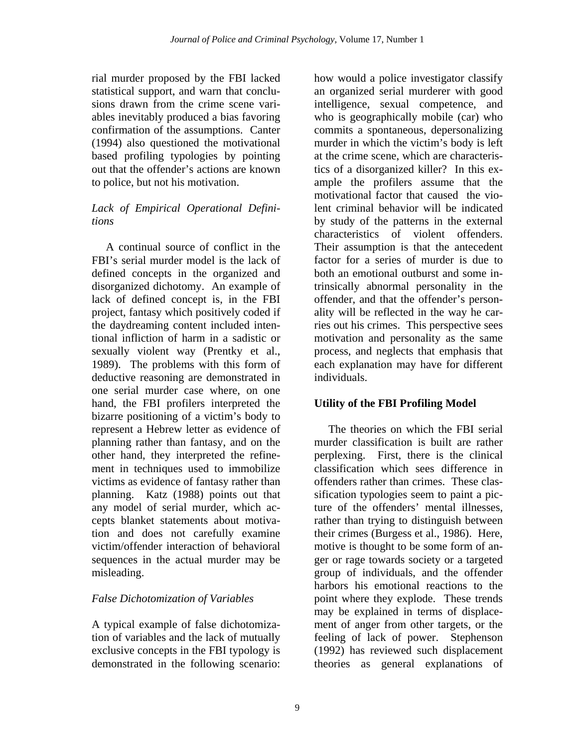rial murder proposed by the FBI lacked statistical support, and warn that conclusions drawn from the crime scene variables inevitably produced a bias favoring confirmation of the assumptions. Canter (1994) also questioned the motivational based profiling typologies by pointing out that the offender's actions are known to police, but not his motivation.

#### *Lack of Empirical Operational Definitions*

 A continual source of conflict in the FBI's serial murder model is the lack of defined concepts in the organized and disorganized dichotomy. An example of lack of defined concept is, in the FBI project, fantasy which positively coded if the daydreaming content included intentional infliction of harm in a sadistic or sexually violent way (Prentky et al., 1989). The problems with this form of deductive reasoning are demonstrated in one serial murder case where, on one hand, the FBI profilers interpreted the bizarre positioning of a victim's body to represent a Hebrew letter as evidence of planning rather than fantasy, and on the other hand, they interpreted the refinement in techniques used to immobilize victims as evidence of fantasy rather than planning. Katz (1988) points out that any model of serial murder, which accepts blanket statements about motivation and does not carefully examine victim/offender interaction of behavioral sequences in the actual murder may be misleading.

# *False Dichotomization of Variables*

A typical example of false dichotomization of variables and the lack of mutually exclusive concepts in the FBI typology is demonstrated in the following scenario:

how would a police investigator classify an organized serial murderer with good intelligence, sexual competence, and who is geographically mobile (car) who commits a spontaneous, depersonalizing murder in which the victim's body is left at the crime scene, which are characteristics of a disorganized killer? In this example the profilers assume that the motivational factor that caused the violent criminal behavior will be indicated by study of the patterns in the external characteristics of violent offenders. Their assumption is that the antecedent factor for a series of murder is due to both an emotional outburst and some intrinsically abnormal personality in the offender, and that the offender's personality will be reflected in the way he carries out his crimes. This perspective sees motivation and personality as the same process, and neglects that emphasis that each explanation may have for different individuals.

# **Utility of the FBI Profiling Model**

 The theories on which the FBI serial murder classification is built are rather perplexing. First, there is the clinical classification which sees difference in offenders rather than crimes. These classification typologies seem to paint a picture of the offenders' mental illnesses, rather than trying to distinguish between their crimes (Burgess et al., 1986). Here, motive is thought to be some form of anger or rage towards society or a targeted group of individuals, and the offender harbors his emotional reactions to the point where they explode. These trends may be explained in terms of displacement of anger from other targets, or the feeling of lack of power. Stephenson (1992) has reviewed such displacement theories as general explanations of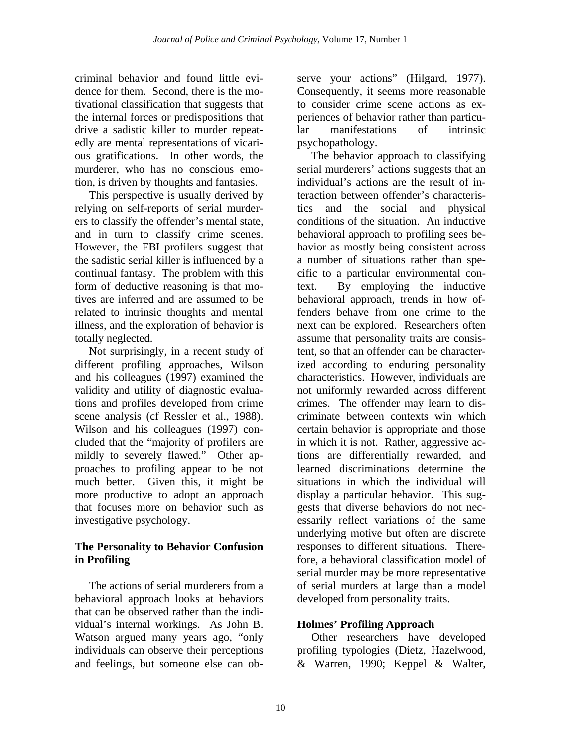criminal behavior and found little evidence for them. Second, there is the motivational classification that suggests that the internal forces or predispositions that drive a sadistic killer to murder repeatedly are mental representations of vicarious gratifications. In other words, the murderer, who has no conscious emotion, is driven by thoughts and fantasies.

 This perspective is usually derived by relying on self-reports of serial murderers to classify the offender's mental state, and in turn to classify crime scenes. However, the FBI profilers suggest that the sadistic serial killer is influenced by a continual fantasy. The problem with this form of deductive reasoning is that motives are inferred and are assumed to be related to intrinsic thoughts and mental illness, and the exploration of behavior is totally neglected.

 Not surprisingly, in a recent study of different profiling approaches, Wilson and his colleagues (1997) examined the validity and utility of diagnostic evaluations and profiles developed from crime scene analysis (cf Ressler et al., 1988). Wilson and his colleagues (1997) concluded that the "majority of profilers are mildly to severely flawed." Other approaches to profiling appear to be not much better. Given this, it might be more productive to adopt an approach that focuses more on behavior such as investigative psychology.

### **The Personality to Behavior Confusion in Profiling**

 The actions of serial murderers from a behavioral approach looks at behaviors that can be observed rather than the individual's internal workings. As John B. Watson argued many years ago, "only individuals can observe their perceptions and feelings, but someone else can observe your actions" (Hilgard, 1977). Consequently, it seems more reasonable to consider crime scene actions as experiences of behavior rather than particular manifestations of intrinsic psychopathology.

 The behavior approach to classifying serial murderers' actions suggests that an individual's actions are the result of interaction between offender's characteristics and the social and physical conditions of the situation. An inductive behavioral approach to profiling sees behavior as mostly being consistent across a number of situations rather than specific to a particular environmental context. By employing the inductive behavioral approach, trends in how offenders behave from one crime to the next can be explored. Researchers often assume that personality traits are consistent, so that an offender can be characterized according to enduring personality characteristics. However, individuals are not uniformly rewarded across different crimes. The offender may learn to discriminate between contexts win which certain behavior is appropriate and those in which it is not. Rather, aggressive actions are differentially rewarded, and learned discriminations determine the situations in which the individual will display a particular behavior. This suggests that diverse behaviors do not necessarily reflect variations of the same underlying motive but often are discrete responses to different situations. Therefore, a behavioral classification model of serial murder may be more representative of serial murders at large than a model developed from personality traits.

#### **Holmes' Profiling Approach**

 Other researchers have developed profiling typologies (Dietz, Hazelwood, & Warren, 1990; Keppel & Walter,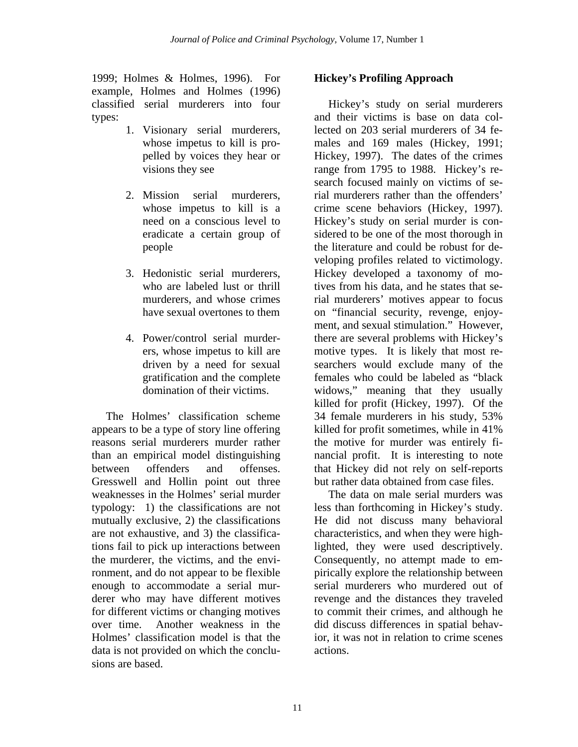1999; Holmes & Holmes, 1996). For example, Holmes and Holmes (1996) classified serial murderers into four types:

- 1. Visionary serial murderers, whose impetus to kill is propelled by voices they hear or visions they see
- 2. Mission serial murderers, whose impetus to kill is a need on a conscious level to eradicate a certain group of people
- 3. Hedonistic serial murderers, who are labeled lust or thrill murderers, and whose crimes have sexual overtones to them
- 4. Power/control serial murderers, whose impetus to kill are driven by a need for sexual gratification and the complete domination of their victims.

 The Holmes' classification scheme appears to be a type of story line offering reasons serial murderers murder rather than an empirical model distinguishing between offenders and offenses. Gresswell and Hollin point out three weaknesses in the Holmes' serial murder typology: 1) the classifications are not mutually exclusive, 2) the classifications are not exhaustive, and 3) the classifications fail to pick up interactions between the murderer, the victims, and the environment, and do not appear to be flexible enough to accommodate a serial murderer who may have different motives for different victims or changing motives over time. Another weakness in the Holmes' classification model is that the data is not provided on which the conclusions are based.

# **Hickey's Profiling Approach**

 Hickey's study on serial murderers and their victims is base on data collected on 203 serial murderers of 34 females and 169 males (Hickey, 1991; Hickey, 1997). The dates of the crimes range from 1795 to 1988. Hickey's research focused mainly on victims of serial murderers rather than the offenders' crime scene behaviors (Hickey, 1997). Hickey's study on serial murder is considered to be one of the most thorough in the literature and could be robust for developing profiles related to victimology. Hickey developed a taxonomy of motives from his data, and he states that serial murderers' motives appear to focus on "financial security, revenge, enjoyment, and sexual stimulation." However, there are several problems with Hickey's motive types. It is likely that most researchers would exclude many of the females who could be labeled as "black widows," meaning that they usually killed for profit (Hickey, 1997). Of the 34 female murderers in his study, 53% killed for profit sometimes, while in 41% the motive for murder was entirely financial profit. It is interesting to note that Hickey did not rely on self-reports but rather data obtained from case files.

 The data on male serial murders was less than forthcoming in Hickey's study. He did not discuss many behavioral characteristics, and when they were highlighted, they were used descriptively. Consequently, no attempt made to empirically explore the relationship between serial murderers who murdered out of revenge and the distances they traveled to commit their crimes, and although he did discuss differences in spatial behavior, it was not in relation to crime scenes actions.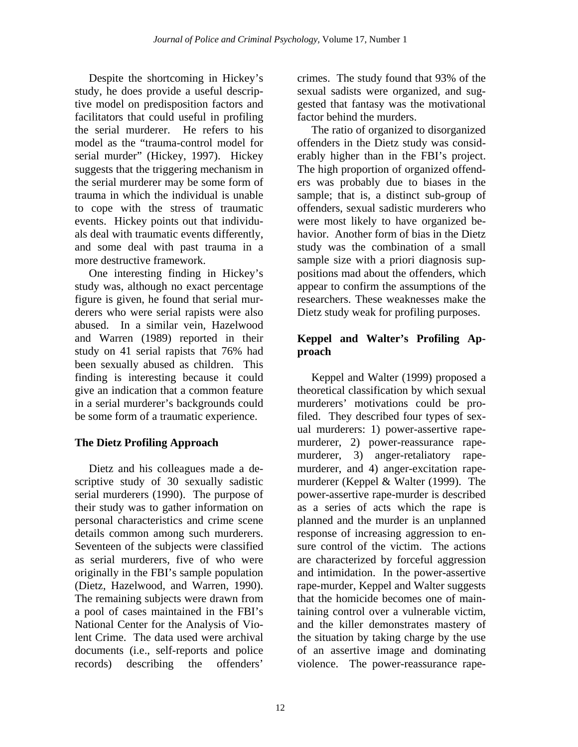Despite the shortcoming in Hickey's study, he does provide a useful descriptive model on predisposition factors and facilitators that could useful in profiling the serial murderer. He refers to his model as the "trauma-control model for serial murder" (Hickey, 1997). Hickey suggests that the triggering mechanism in the serial murderer may be some form of trauma in which the individual is unable to cope with the stress of traumatic events. Hickey points out that individuals deal with traumatic events differently, and some deal with past trauma in a more destructive framework.

 One interesting finding in Hickey's study was, although no exact percentage figure is given, he found that serial murderers who were serial rapists were also abused. In a similar vein, Hazelwood and Warren (1989) reported in their study on 41 serial rapists that 76% had been sexually abused as children. This finding is interesting because it could give an indication that a common feature in a serial murderer's backgrounds could be some form of a traumatic experience.

# **The Dietz Profiling Approach**

 Dietz and his colleagues made a descriptive study of 30 sexually sadistic serial murderers (1990). The purpose of their study was to gather information on personal characteristics and crime scene details common among such murderers. Seventeen of the subjects were classified as serial murderers, five of who were originally in the FBI's sample population (Dietz, Hazelwood, and Warren, 1990). The remaining subjects were drawn from a pool of cases maintained in the FBI's National Center for the Analysis of Violent Crime. The data used were archival documents (i.e., self-reports and police records) describing the offenders'

crimes. The study found that 93% of the sexual sadists were organized, and suggested that fantasy was the motivational factor behind the murders.

 The ratio of organized to disorganized offenders in the Dietz study was considerably higher than in the FBI's project. The high proportion of organized offenders was probably due to biases in the sample; that is, a distinct sub-group of offenders, sexual sadistic murderers who were most likely to have organized behavior. Another form of bias in the Dietz study was the combination of a small sample size with a priori diagnosis suppositions mad about the offenders, which appear to confirm the assumptions of the researchers. These weaknesses make the Dietz study weak for profiling purposes.

#### **Keppel and Walter's Profiling Approach**

 Keppel and Walter (1999) proposed a theoretical classification by which sexual murderers' motivations could be profiled. They described four types of sexual murderers: 1) power-assertive rapemurderer, 2) power-reassurance rapemurderer, 3) anger-retaliatory rapemurderer, and 4) anger-excitation rapemurderer (Keppel & Walter (1999). The power-assertive rape-murder is described as a series of acts which the rape is planned and the murder is an unplanned response of increasing aggression to ensure control of the victim. The actions are characterized by forceful aggression and intimidation. In the power-assertive rape-murder, Keppel and Walter suggests that the homicide becomes one of maintaining control over a vulnerable victim, and the killer demonstrates mastery of the situation by taking charge by the use of an assertive image and dominating violence. The power-reassurance rape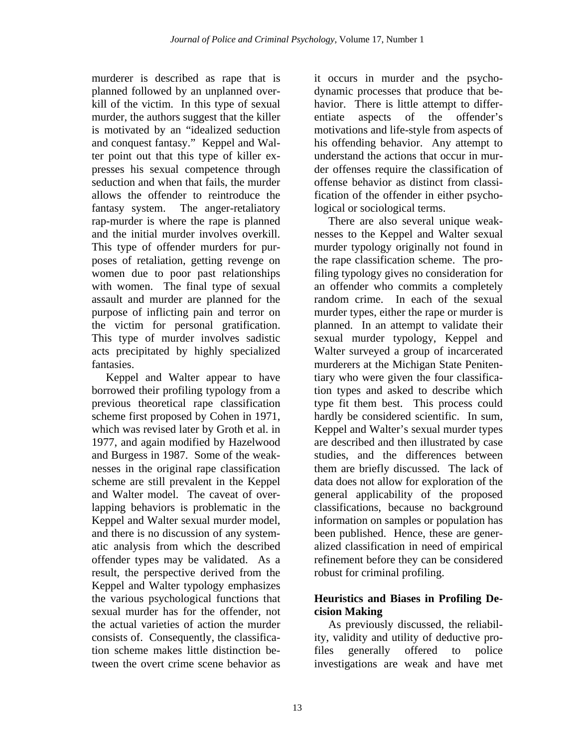murderer is described as rape that is planned followed by an unplanned overkill of the victim. In this type of sexual murder, the authors suggest that the killer is motivated by an "idealized seduction and conquest fantasy." Keppel and Walter point out that this type of killer expresses his sexual competence through seduction and when that fails, the murder allows the offender to reintroduce the fantasy system. The anger-retaliatory rap-murder is where the rape is planned and the initial murder involves overkill. This type of offender murders for purposes of retaliation, getting revenge on women due to poor past relationships with women. The final type of sexual assault and murder are planned for the purpose of inflicting pain and terror on the victim for personal gratification. This type of murder involves sadistic acts precipitated by highly specialized fantasies.

 Keppel and Walter appear to have borrowed their profiling typology from a previous theoretical rape classification scheme first proposed by Cohen in 1971, which was revised later by Groth et al. in 1977, and again modified by Hazelwood and Burgess in 1987. Some of the weaknesses in the original rape classification scheme are still prevalent in the Keppel and Walter model. The caveat of overlapping behaviors is problematic in the Keppel and Walter sexual murder model, and there is no discussion of any systematic analysis from which the described offender types may be validated. As a result, the perspective derived from the Keppel and Walter typology emphasizes the various psychological functions that sexual murder has for the offender, not the actual varieties of action the murder consists of. Consequently, the classification scheme makes little distinction between the overt crime scene behavior as

it occurs in murder and the psychodynamic processes that produce that behavior. There is little attempt to differentiate aspects of the offender's motivations and life-style from aspects of his offending behavior. Any attempt to understand the actions that occur in murder offenses require the classification of offense behavior as distinct from classification of the offender in either psychological or sociological terms.

 There are also several unique weaknesses to the Keppel and Walter sexual murder typology originally not found in the rape classification scheme. The profiling typology gives no consideration for an offender who commits a completely random crime. In each of the sexual murder types, either the rape or murder is planned. In an attempt to validate their sexual murder typology, Keppel and Walter surveyed a group of incarcerated murderers at the Michigan State Penitentiary who were given the four classification types and asked to describe which type fit them best. This process could hardly be considered scientific. In sum, Keppel and Walter's sexual murder types are described and then illustrated by case studies, and the differences between them are briefly discussed. The lack of data does not allow for exploration of the general applicability of the proposed classifications, because no background information on samples or population has been published. Hence, these are generalized classification in need of empirical refinement before they can be considered robust for criminal profiling.

#### **Heuristics and Biases in Profiling Decision Making**

 As previously discussed, the reliability, validity and utility of deductive profiles generally offered to police investigations are weak and have met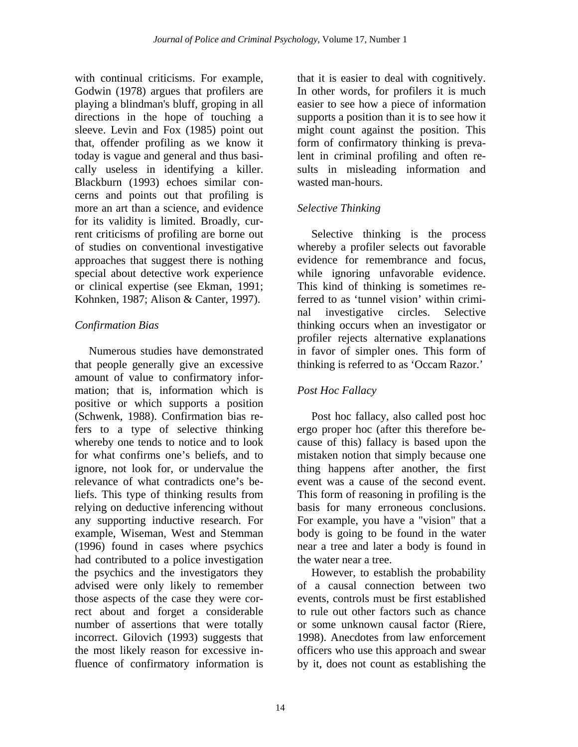with continual criticisms. For example, Godwin (1978) argues that profilers are playing a blindman's bluff, groping in all directions in the hope of touching a sleeve. Levin and Fox (1985) point out that, offender profiling as we know it today is vague and general and thus basically useless in identifying a killer. Blackburn (1993) echoes similar concerns and points out that profiling is more an art than a science, and evidence for its validity is limited. Broadly, current criticisms of profiling are borne out of studies on conventional investigative approaches that suggest there is nothing special about detective work experience or clinical expertise (see Ekman, 1991; Kohnken, 1987; Alison & Canter, 1997).

# *Confirmation Bias*

 Numerous studies have demonstrated that people generally give an excessive amount of value to confirmatory information; that is, information which is positive or which supports a position (Schwenk, 1988). Confirmation bias refers to a type of selective thinking whereby one tends to notice and to look for what confirms one's beliefs, and to ignore, not look for, or undervalue the relevance of what contradicts one's beliefs. This type of thinking results from relying on deductive inferencing without any supporting inductive research. For example, Wiseman, West and Stemman (1996) found in cases where psychics had contributed to a police investigation the psychics and the investigators they advised were only likely to remember those aspects of the case they were correct about and forget a considerable number of assertions that were totally incorrect. Gilovich (1993) suggests that the most likely reason for excessive influence of confirmatory information is

that it is easier to deal with cognitively. In other words, for profilers it is much easier to see how a piece of information supports a position than it is to see how it might count against the position. This form of confirmatory thinking is prevalent in criminal profiling and often results in misleading information and wasted man-hours.

# *Selective Thinking*

 Selective thinking is the process whereby a profiler selects out favorable evidence for remembrance and focus, while ignoring unfavorable evidence. This kind of thinking is sometimes referred to as 'tunnel vision' within criminal investigative circles. Selective thinking occurs when an investigator or profiler rejects alternative explanations in favor of simpler ones. This form of thinking is referred to as 'Occam Razor.'

# *Post Hoc Fallacy*

 Post hoc fallacy, also called post hoc ergo proper hoc (after this therefore because of this) fallacy is based upon the mistaken notion that simply because one thing happens after another, the first event was a cause of the second event. This form of reasoning in profiling is the basis for many erroneous conclusions. For example, you have a "vision" that a body is going to be found in the water near a tree and later a body is found in the water near a tree.

 However, to establish the probability of a causal connection between two events, controls must be first established to rule out other factors such as chance or some unknown causal factor (Riere, 1998). Anecdotes from law enforcement officers who use this approach and swear by it, does not count as establishing the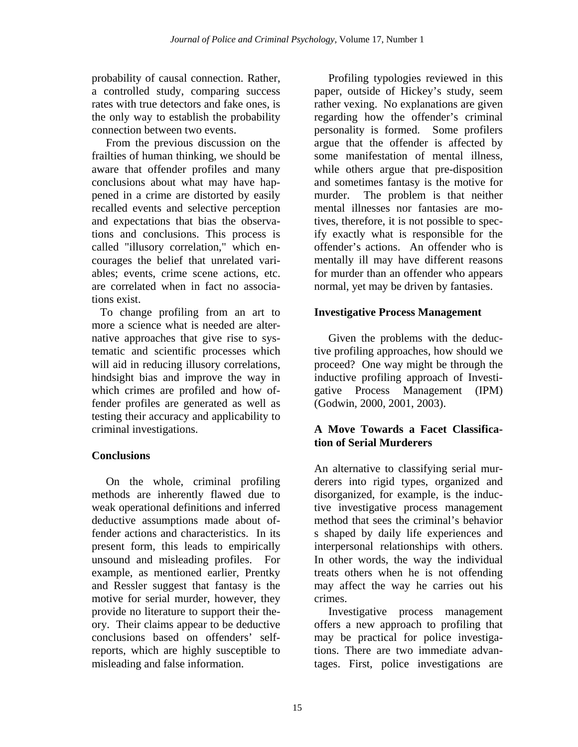probability of causal connection. Rather, a controlled study, comparing success rates with true detectors and fake ones, is the only way to establish the probability connection between two events.

 From the previous discussion on the frailties of human thinking, we should be aware that offender profiles and many conclusions about what may have happened in a crime are distorted by easily recalled events and selective perception and expectations that bias the observations and conclusions. This process is called "illusory correlation," which encourages the belief that unrelated variables; events, crime scene actions, etc. are correlated when in fact no associations exist.

 To change profiling from an art to more a science what is needed are alternative approaches that give rise to systematic and scientific processes which will aid in reducing illusory correlations, hindsight bias and improve the way in which crimes are profiled and how offender profiles are generated as well as testing their accuracy and applicability to criminal investigations.

# **Conclusions**

 On the whole, criminal profiling methods are inherently flawed due to weak operational definitions and inferred deductive assumptions made about offender actions and characteristics. In its present form, this leads to empirically unsound and misleading profiles. For example, as mentioned earlier, Prentky and Ressler suggest that fantasy is the motive for serial murder, however, they provide no literature to support their theory. Their claims appear to be deductive conclusions based on offenders' selfreports, which are highly susceptible to misleading and false information.

 Profiling typologies reviewed in this paper, outside of Hickey's study, seem rather vexing. No explanations are given regarding how the offender's criminal personality is formed. Some profilers argue that the offender is affected by some manifestation of mental illness, while others argue that pre-disposition and sometimes fantasy is the motive for murder. The problem is that neither mental illnesses nor fantasies are motives, therefore, it is not possible to specify exactly what is responsible for the offender's actions. An offender who is mentally ill may have different reasons for murder than an offender who appears normal, yet may be driven by fantasies.

### **Investigative Process Management**

 Given the problems with the deductive profiling approaches, how should we proceed? One way might be through the inductive profiling approach of Investigative Process Management (IPM) (Godwin, 2000, 2001, 2003).

### **A Move Towards a Facet Classification of Serial Murderers**

An alternative to classifying serial murderers into rigid types, organized and disorganized, for example, is the inductive investigative process management method that sees the criminal's behavior s shaped by daily life experiences and interpersonal relationships with others. In other words, the way the individual treats others when he is not offending may affect the way he carries out his crimes.

 Investigative process management offers a new approach to profiling that may be practical for police investigations. There are two immediate advantages. First, police investigations are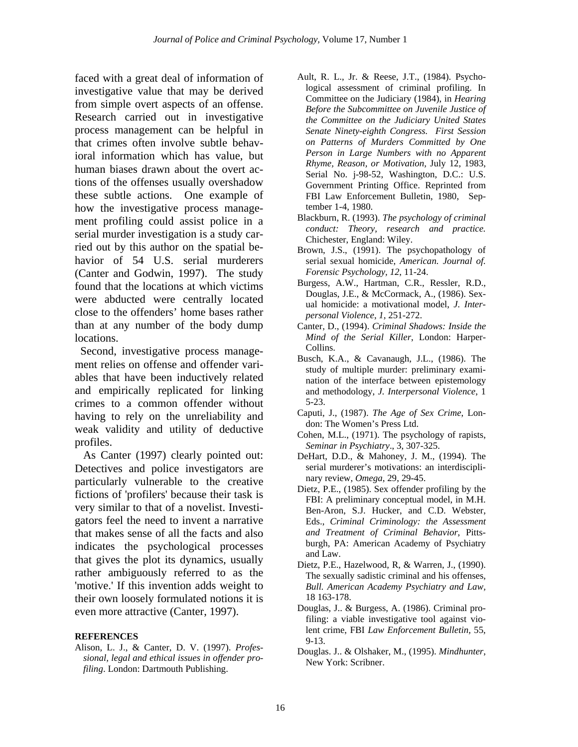faced with a great deal of information of investigative value that may be derived from simple overt aspects of an offense. Research carried out in investigative process management can be helpful in that crimes often involve subtle behavioral information which has value, but human biases drawn about the overt actions of the offenses usually overshadow these subtle actions. One example of how the investigative process management profiling could assist police in a serial murder investigation is a study carried out by this author on the spatial behavior of 54 U.S. serial murderers (Canter and Godwin, 1997). The study found that the locations at which victims were abducted were centrally located close to the offenders' home bases rather than at any number of the body dump locations.

 Second, investigative process management relies on offense and offender variables that have been inductively related and empirically replicated for linking crimes to a common offender without having to rely on the unreliability and weak validity and utility of deductive profiles.

 As Canter (1997) clearly pointed out: Detectives and police investigators are particularly vulnerable to the creative fictions of 'profilers' because their task is very similar to that of a novelist. Investigators feel the need to invent a narrative that makes sense of all the facts and also indicates the psychological processes that gives the plot its dynamics, usually rather ambiguously referred to as the 'motive.' If this invention adds weight to their own loosely formulated notions it is even more attractive (Canter, 1997).

#### **REFERENCES**

Alison, L. J., & Canter, D. V. (1997). *Professional, legal and ethical issues in offender profiling*. London: Dartmouth Publishing.

- Ault, R. L., Jr. & Reese, J.T., (1984). Psychological assessment of criminal profiling. In Committee on the Judiciary (1984), in *Hearing Before the Subcommittee on Juvenile Justice of the Committee on the Judiciary United States Senate Ninety-eighth Congress. First Session on Patterns of Murders Committed by One Person in Large Numbers with no Apparent Rhyme, Reason, or Motivation,* July 12, 1983, Serial No. j-98-52, Washington, D.C.: U.S. Government Printing Office. Reprinted from FBI Law Enforcement Bulletin, 1980, September 1-4, 1980.
- Blackburn, R. (1993). *The psychology of criminal conduct: Theory, research and practice.* Chichester, England: Wiley.
- Brown, J.S., (1991). The psychopathology of serial sexual homicide, *American. Journal of. Forensic Psychology, 12*, 11-24.
- Burgess, A.W., Hartman, C.R., Ressler, R.D., Douglas, J.E., & McCormack, A., (1986). Sexual homicide: a motivational model, *J. Interpersonal Violence*, *1,* 251-272.
- Canter, D., (1994). *Criminal Shadows: Inside the Mind of the Serial Killer*, London: Harper-Collins.
- Busch, K.A., & Cavanaugh, J.L., (1986). The study of multiple murder: preliminary examination of the interface between epistemology and methodology, *J. Interpersonal Violence*, 1 5-23.
- Caputi, J., (1987). *The Age of Sex Crime*, London: The Women's Press Ltd.
- Cohen, M.L., (1971). The psychology of rapists, *Seminar in Psychiatry*., 3, 307-325.
- DeHart, D.D., & Mahoney, J. M., (1994). The serial murderer's motivations: an interdisciplinary review, *Omega*, 29, 29-45.
- Dietz, P.E., (1985). Sex offender profiling by the FBI: A preliminary conceptual model, in M.H. Ben-Aron, S.J. Hucker, and C.D. Webster, Eds., *Criminal Criminology: the Assessment and Treatment of Criminal Behavior*, Pittsburgh, PA: American Academy of Psychiatry and Law.
- Dietz, P.E., Hazelwood, R, & Warren, J., (1990). The sexually sadistic criminal and his offenses, *Bull. American Academy Psychiatry and Law,* 18 163-178.
- Douglas, J.. & Burgess, A. (1986). Criminal profiling: a viable investigative tool against violent crime, FBI *Law Enforcement Bulletin,* 55, 9-13.
- Douglas. J.. & Olshaker, M., (1995). *Mindhunter*, New York: Scribner.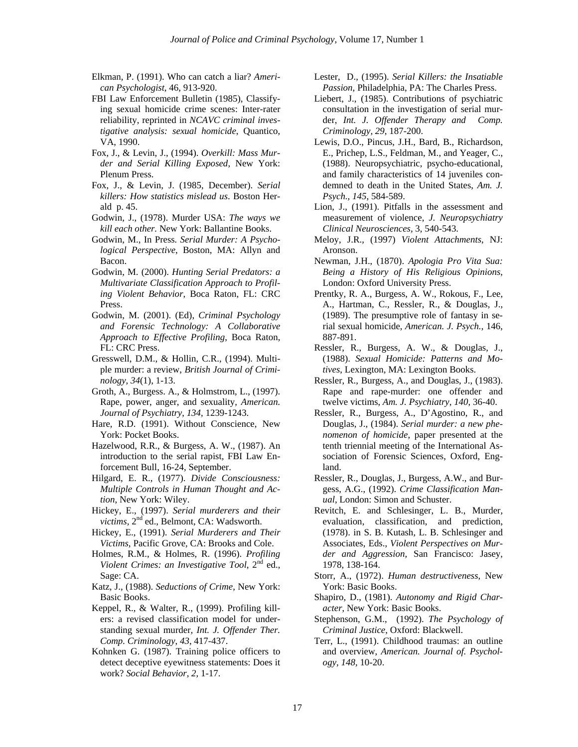- Elkman, P. (1991). Who can catch a liar? *American Psychologist*, 46, 913-920.
- FBI Law Enforcement Bulletin (1985), Classifying sexual homicide crime scenes: Inter-rater reliability, reprinted in *NCAVC criminal investigative analysis: sexual homicide*, Quantico, VA, 1990.
- Fox, J., & Levin, J., (1994). *Overkill: Mass Murder and Serial Killing Exposed*, New York: Plenum Press.
- Fox, J., & Levin, J. (1985, December). *Serial killers: How statistics mislead us*. Boston Herald p. 45.
- Godwin, J., (1978). Murder USA: *The ways we kill each other.* New York: Ballantine Books.
- Godwin, M., In Press*. Serial Murder: A Psychological Perspective*, Boston, MA: Allyn and Bacon.
- Godwin, M. (2000). *Hunting Serial Predators: a Multivariate Classification Approach to Profiling Violent Behavior*, Boca Raton, FL: CRC Press.
- Godwin, M. (2001). (Ed), *Criminal Psychology and Forensic Technology: A Collaborative Approach to Effective Profiling*, Boca Raton, FL: CRC Press.
- Gresswell, D.M., & Hollin, C.R., (1994). Multiple murder: a review, *British Journal of Criminology*, *34*(1), 1-13.
- Groth, A., Burgess. A., & Holmstrom, L., (1997). Rape, power, anger, and sexuality, *American. Journal of Psychiatry*, *134*, 1239-1243.
- Hare, R.D. (1991). Without Conscience, New York: Pocket Books.
- Hazelwood, R.R., & Burgess, A. W., (1987). An introduction to the serial rapist, FBI Law Enforcement Bull, 16-24, September.
- Hilgard, E. R., (1977). *Divide Consciousness: Multiple Controls in Human Thought and Action*, New York: Wiley.
- Hickey, E., (1997). *Serial murderers and their victims*,  $2^{nd}$  ed., Belmont, CA: Wadsworth.
- Hickey, E., (1991). *Serial Murderers and Their Victims,* Pacific Grove, CA: Brooks and Cole.
- Holmes, R.M., & Holmes, R. (1996). *Profiling Violent Crimes: an Investigative Tool*,  $2<sup>nd</sup>$  ed., Sage: CA.
- Katz, J., (1988). *Seductions of Crime*, New York: Basic Books.
- Keppel, R., & Walter, R., (1999). Profiling killers: a revised classification model for understanding sexual murder*, Int. J. Offender Ther. Comp. Criminology*, *43*, 417-437.
- Kohnken G. (1987). Training police officers to detect deceptive eyewitness statements: Does it work? *Social Behavior*, *2,* 1-17.
- Lester, D., (1995). *Serial Killers: the Insatiable Passion,* Philadelphia, PA: The Charles Press.
- Liebert, J., (1985). Contributions of psychiatric consultation in the investigation of serial murder, *Int. J. Offender Therapy and Comp. Criminology, 29*, 187-200.
- Lewis, D.O., Pincus, J.H., Bard, B., Richardson, E., Prichep, L.S., Feldman, M., and Yeager, C., (1988). Neuropsychiatric, psycho-educational, and family characteristics of 14 juveniles condemned to death in the United States, *Am. J. Psych.*, *145*, 584-589.
- Lion, J., (1991). Pitfalls in the assessment and measurement of violence, *J. Neuropsychiatry Clinical Neurosciences,* 3, 540-543.
- Meloy, J.R., (1997) *Violent Attachments*, NJ: Aronson.
- Newman, J.H., (1870). *Apologia Pro Vita Sua: Being a History of His Religious Opinions*, London: Oxford University Press.
- Prentky, R. A., Burgess, A. W., Rokous, F., Lee, A., Hartman, C., Ressler, R., & Douglas, J., (1989). The presumptive role of fantasy in serial sexual homicide, *American. J. Psych.*, 146, 887-891.
- Ressler, R., Burgess, A. W., & Douglas, J., (1988). *Sexual Homicide: Patterns and Motives*, Lexington, MA: Lexington Books.
- Ressler, R., Burgess, A., and Douglas, J., (1983). Rape and rape-murder: one offender and twelve victims, *Am. J. Psychiatry*, *140*, 36-40.
- Ressler, R., Burgess, A., D'Agostino, R., and Douglas, J., (1984). *Serial murder: a new phenomenon of homicide*, paper presented at the tenth triennial meeting of the International Association of Forensic Sciences, Oxford, England.
- Ressler, R., Douglas, J., Burgess, A.W., and Burgess, A.G., (1992). *Crime Classification Manual*, London: Simon and Schuster.
- Revitch, E. and Schlesinger, L. B., Murder, evaluation, classification, and prediction, (1978). in S. B. Kutash, L. B. Schlesinger and Associates, Eds., *Violent Perspectives on Murder and Aggression*, San Francisco: Jasey, 1978, 138-164.
- Storr, A., (1972). *Human destructiveness*, New York: Basic Books.
- Shapiro, D., (1981). *Autonomy and Rigid Character*, New York: Basic Books.
- Stephenson, G.M., (1992). *The Psychology of Criminal Justice*, Oxford: Blackwell.
- Terr, L., (1991). Childhood traumas: an outline and overview, *American. Journal of. Psychology, 148*, 10-20.